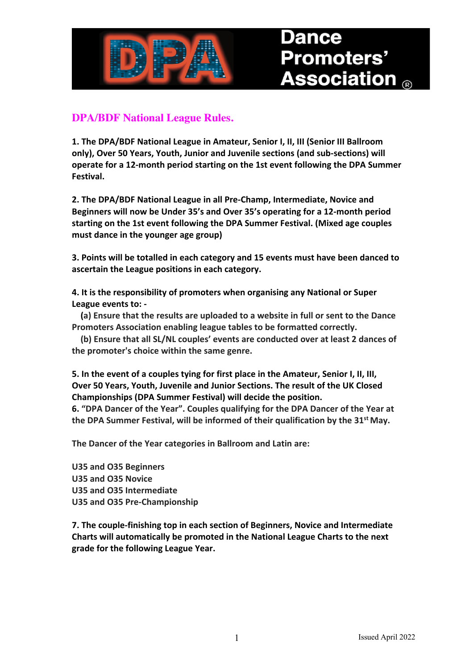

# **Promoters'**  $\mathbf s$ sociation  $_{\scriptscriptstyle\mathsf{R}}$

### **DPA/BDF National League Rules.**

**1. The DPA/BDF National League in Amateur, Senior I, II, III (Senior III Ballroom only), Over 50 Years, Youth, Junior and Juvenile sections (and sub-sections) will operate for a 12-month period starting on the 1st event following the DPA Summer Festival.**

**2. The DPA/BDF National League in all Pre-Champ, Intermediate, Novice and Beginners will now be Under 35's and Over 35's operating for a 12-month period starting on the 1st event following the DPA Summer Festival. (Mixed age couples must dance in the younger age group)** 

**3. Points will be totalled in each category and 15 events must have been danced to ascertain the League positions in each category.**

**4. It is the responsibility of promoters when organising any National or Super League events to: -**

 **(a) Ensure that the results are uploaded to a website in full or sent to the Dance Promoters Association enabling league tables to be formatted correctly.**

 **(b) Ensure that all SL/NL couples' events are conducted over at least 2 dances of the promoter's choice within the same genre.**

**5. In the event of a couples tying for first place in the Amateur, Senior I, II, III, Over 50 Years, Youth, Juvenile and Junior Sections. The result of the UK Closed Championships (DPA Summer Festival) will decide the position.** 

**6. "DPA Dancer of the Year". Couples qualifying for the DPA Dancer of the Year at the DPA Summer Festival, will be informed of their qualification by the 31st May.**

**The Dancer of the Year categories in Ballroom and Latin are:**

**U35 and O35 Beginners U35 and O35 Novice U35 and O35 Intermediate U35 and O35 Pre-Championship**

**7. The couple-finishing top in each section of Beginners, Novice and Intermediate Charts will automatically be promoted in the National League Charts to the next grade for the following League Year.**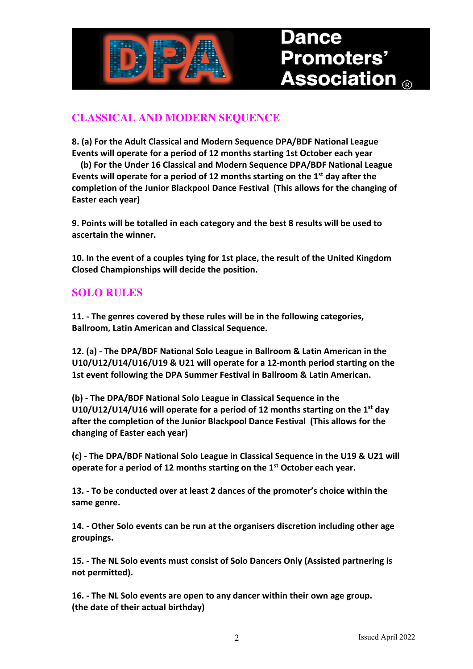

# Promoters' ssociation

## **CLASSICAL AND MODERN SEQUENCE**

**8. (a) For the Adult Classical and Modern Sequence DPA/BDF National League Events will operate for a period of 12 months starting 1st October each year**

 **(b) For the Under 16 Classical and Modern Sequence DPA/BDF National League Events will operate for a period of 12 months starting on the 1st day after the completion of the Junior Blackpool Dance Festival (This allows for the changing of Easter each year)**

**9. Points will be totalled in each category and the best 8 results will be used to ascertain the winner.**

**10. In the event of a couples tying for 1st place, the result of the United Kingdom Closed Championships will decide the position.** 

#### **SOLO RULES**

**11. - The genres covered by these rules will be in the following categories, Ballroom, Latin American and Classical Sequence.**

**12. (a) - The DPA/BDF National Solo League in Ballroom & Latin American in the U10/U12/U14/U16/U19 & U21 will operate for a 12-month period starting on the 1st event following the DPA Summer Festival in Ballroom & Latin American.**

**(b) - The DPA/BDF National Solo League in Classical Sequence in the U10/U12/U14/U16 will operate for a period of 12 months starting on the 1st day after the completion of the Junior Blackpool Dance Festival (This allows for the changing of Easter each year)**

**(c) - The DPA/BDF National Solo League in Classical Sequence in the U19 & U21 will operate for a period of 12 months starting on the 1st October each year.**

**13. - To be conducted over at least 2 dances of the promoter's choice within the same genre.**

**14. - Other Solo events can be run at the organisers discretion including other age groupings.**

**15. - The NL Solo events must consist of Solo Dancers Only (Assisted partnering is not permitted).**

**16. - The NL Solo events are open to any dancer within their own age group. (the date of their actual birthday)**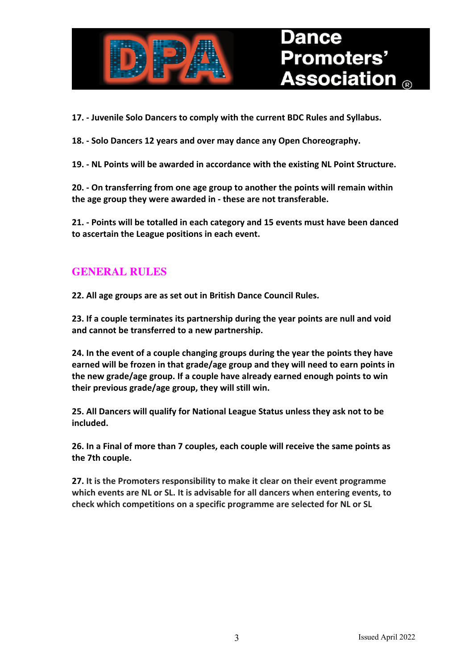

**17. - Juvenile Solo Dancers to comply with the current BDC Rules and Syllabus.**

**18. - Solo Dancers 12 years and over may dance any Open Choreography.**

**19. - NL Points will be awarded in accordance with the existing NL Point Structure.**

**20. - On transferring from one age group to another the points will remain within the age group they were awarded in - these are not transferable.**

**21. - Points will be totalled in each category and 15 events must have been danced to ascertain the League positions in each event.**

#### **GENERAL RULES**

**22. All age groups are as set out in British Dance Council Rules.**

**23. If a couple terminates its partnership during the year points are null and void and cannot be transferred to a new partnership.**

**24. In the event of a couple changing groups during the year the points they have earned will be frozen in that grade/age group and they will need to earn points in the new grade/age group. If a couple have already earned enough points to win their previous grade/age group, they will still win.**

**25. All Dancers will qualify for National League Status unless they ask not to be included.**

**26. In a Final of more than 7 couples, each couple will receive the same points as the 7th couple.**

**27. It is the Promoters responsibility to make it clear on their event programme which events are NL or SL. It is advisable for all dancers when entering events, to check which competitions on a specific programme are selected for NL or SL**